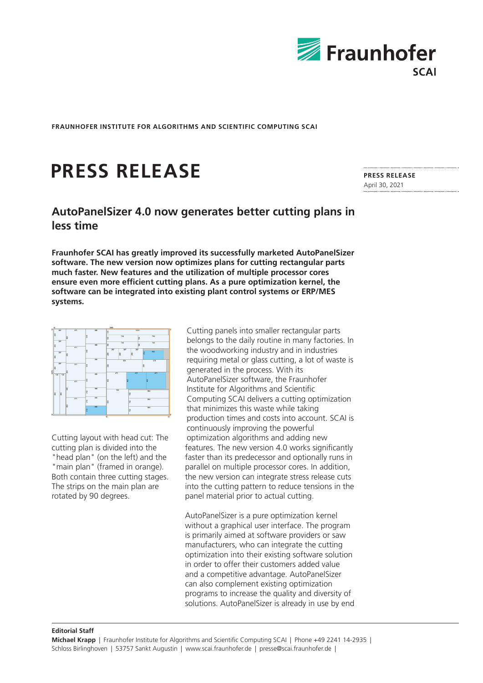

**FRAUNHOFER INSTITUTE FOR ALGORITHMS AND SCIENTIFIC COMPUTING SCAI**

## **PRESS RELEASE**

## **AutoPanelSizer 4.0 now generates better cutting plans in less time**

**Fraunhofer SCAI has greatly improved its successfully marketed AutoPanelSizer software. The new version now optimizes plans for cutting rectangular parts much faster. New features and the utilization of multiple processor cores ensure even more efficient cutting plans. As a pure optimization kernel, the software can be integrated into existing plant control systems or ERP/MES systems.**



Cutting layout with head cut: The cutting plan is divided into the "head plan" (on the left) and the "main plan" (framed in orange). Both contain three cutting stages. The strips on the main plan are rotated by 90 degrees.

Cutting panels into smaller rectangular parts belongs to the daily routine in many factories. In the woodworking industry and in industries requiring metal or glass cutting, a lot of waste is generated in the process. With its AutoPanelSizer software, the Fraunhofer Institute for Algorithms and Scientific Computing SCAI delivers a cutting optimization that minimizes this waste while taking production times and costs into account. SCAI is continuously improving the powerful optimization algorithms and adding new features. The new version 4.0 works significantly faster than its predecessor and optionally runs in parallel on multiple processor cores. In addition, the new version can integrate stress release cuts into the cutting pattern to reduce tensions in the panel material prior to actual cutting.

AutoPanelSizer is a pure optimization kernel without a graphical user interface. The program is primarily aimed at software providers or saw manufacturers, who can integrate the cutting optimization into their existing software solution in order to offer their customers added value and a competitive advantage. AutoPanelSizer can also complement existing optimization programs to increase the quality and diversity of solutions. AutoPanelSizer is already in use by end

## **Editorial Staff**

**PRESS RELEASE**  April 30, 2021